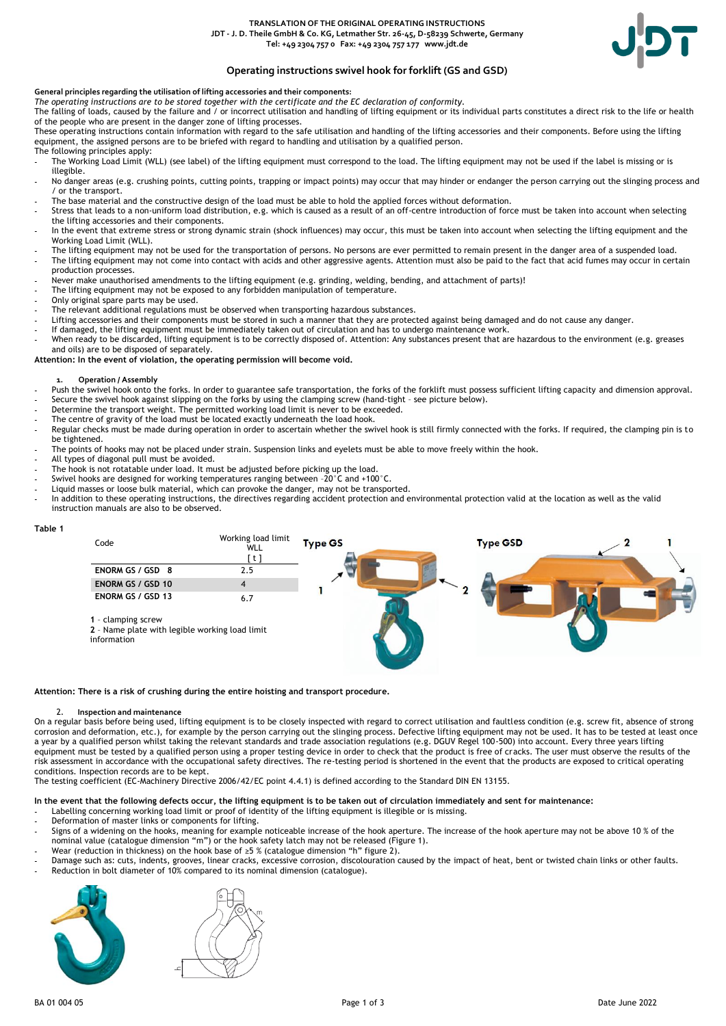### **TRANSLATION OF THE ORIGINAL OPERATING INSTRUCTIONS JDT - J. D. Theile GmbH & Co. KG, Letmather Str. 26-45, D-58239 Schwerte, Germany Tel: +49 2304 757 0 Fax: +49 2304 757 177 www.jdt.de**



# **Operating instructions swivel hook for forklift (GS and GSD)**

# **General principles regarding the utilisation of lifting accessories and their components:**

*The operating instructions are to be stored together with the certificate and the EC declaration of conformity.*

The falling of loads, caused by the failure and / or incorrect utilisation and handling of lifting equipment or its individual parts constitutes a direct risk to the life or health of the people who are present in the danger zone of lifting processes.

These operating instructions contain information with regard to the safe utilisation and handling of the lifting accessories and their components. Before using the lifting equipment, the assigned persons are to be briefed with regard to handling and utilisation by a qualified person. The following principles apply:

The Working Load Limit (WLL) (see label) of the lifting equipment must correspond to the load. The lifting equipment may not be used if the label is missing or is illegible.

- No danger areas (e.g. crushing points, cutting points, trapping or impact points) may occur that may hinder or endanger the person carrying out the slinging process and / or the transport.
- The base material and the constructive design of the load must be able to hold the applied forces without deformation.
- Stress that leads to a non-uniform load distribution, e.g. which is caused as a result of an off-centre introduction of force must be taken into account when selecting the lifting accessories and their components.
- In the event that extreme stress or strong dynamic strain (shock influences) may occur, this must be taken into account when selecting the lifting equipment and the Working Load Limit (WLL).
- The lifting equipment may not be used for the transportation of persons. No persons are ever permitted to remain present in the danger area of a suspended load. - The lifting equipment may not come into contact with acids and other aggressive agents. Attention must also be paid to the fact that acid fumes may occur in certain production processes.
- Never make unauthorised amendments to the lifting equipment (e.g. grinding, welding, bending, and attachment of parts)!
- The lifting equipment may not be exposed to any forbidden manipulation of temperature.
- Only original spare parts may be used.
- The relevant additional regulations must be observed when transporting hazardous substances.
- Lifting accessories and their components must be stored in such a manner that they are protected against being damaged and do not cause any danger.
- If damaged, the lifting equipment must be immediately taken out of circulation and has to undergo maintenance work.
- When ready to be discarded, lifting equipment is to be correctly disposed of. Attention: Any substances present that are hazardous to the environment (e.g. greases and oils) are to be disposed of separately.

#### **Attention: In the event of violation, the operating permission will become void.**

#### **1. Operation / Assembly**

- Push the swivel hook onto the forks. In order to guarantee safe transportation, the forks of the forklift must possess sufficient lifting capacity and dimension approval.
- Secure the swivel hook against slipping on the forks by using the clamping screw (hand-tight see picture below).
- Determine the transport weight. The permitted working load limit is never to be exceeded.
- The centre of gravity of the load must be located exactly underneath the load hook.
- Regular checks must be made during operation in order to ascertain whether the swivel hook is still firmly connected with the forks. If required, the clamping pin is to be tightened.
- The points of hooks may not be placed under strain. Suspension links and eyelets must be able to move freely within the hook.
- All types of diagonal pull must be avoided.
- The hook is not rotatable under load. It must be adjusted before picking up the load.
- Swivel hooks are designed for working temperatures ranging between -20°C and +100°C.
- Liquid masses or loose bulk material, which can provoke the danger, may not be transported.
- In addition to these operating instructions, the directives regarding accident protection and environmental protection valid at the location as well as the valid instruction manuals are also to be observed.

#### **Table 1**



**Attention: There is a risk of crushing during the entire hoisting and transport procedure.**

# 2. **Inspection and maintenance**

On a regular basis before being used, lifting equipment is to be closely inspected with regard to correct utilisation and faultless condition (e.g. screw fit, absence of strong corrosion and deformation, etc.), for example by the person carrying out the slinging process. Defective lifting equipment may not be used. It has to be tested at least once a year by a qualified person whilst taking the relevant standards and trade association regulations (e.g. DGUV Regel 100-500) into account. Every three years lifting equipment must be tested by a qualified person using a proper testing device in order to check that the product is free of cracks. The user must observe the results of the risk assessment in accordance with the occupational safety directives. The re-testing period is shortened in the event that the products are exposed to critical operating conditions. Inspection records are to be kept.

The testing coefficient (EC-Machinery Directive 2006/42/EC point 4.4.1) is defined according to the Standard DIN EN 13155.

# **In the event that the following defects occur, the lifting equipment is to be taken out of circulation immediately and sent for maintenance:**

- Labelling concerning working load limit or proof of identity of the lifting equipment is illegible or is missing.
- Deformation of master links or components for lifting.
- Signs of a widening on the hooks, meaning for example noticeable increase of the hook aperture. The increase of the hook aperture may not be above 10 % of the nominal value (catalogue dimension "m") or the hook safety latch may not be released (Figure 1).
- Wear (reduction in thickness) on the hook base of  $\geq$ 5 % (catalogue dimension "h" figure 2).
- Damage such as: cuts, indents, grooves, linear cracks, excessive corrosion, discolouration caused by the impact of heat, bent or twisted chain links or other faults. Reduction in bolt diameter of 10% compared to its nominal dimension (catalogue).



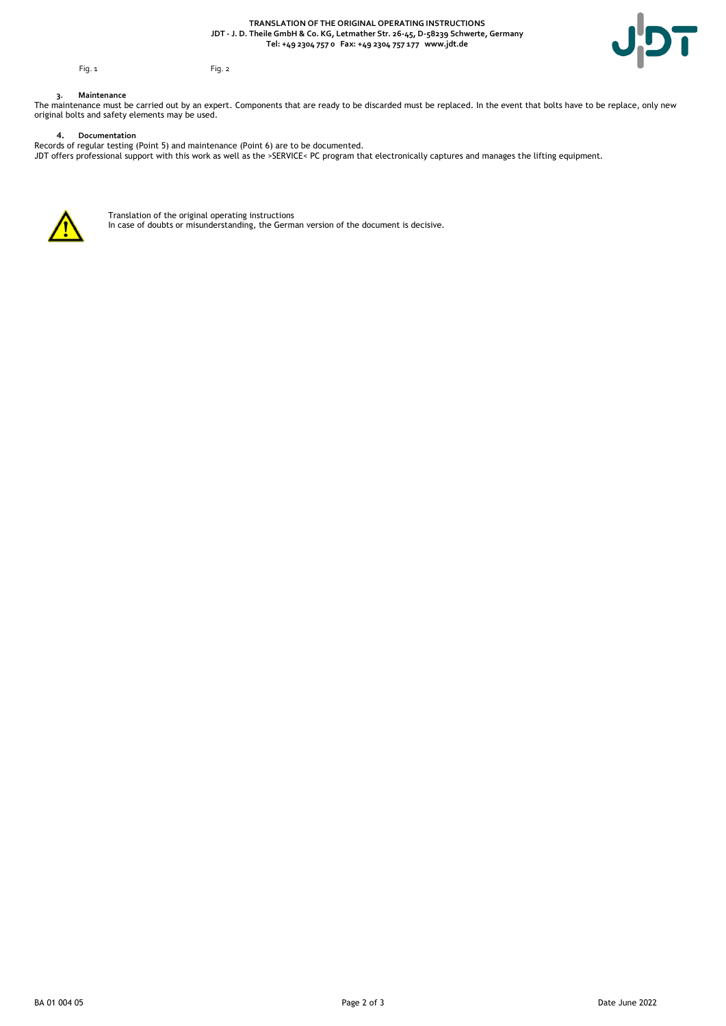**TRANSLATION OF THE ORIGINAL OPERATING INSTRUCTIONS JDT - J. D. Theile GmbH & Co. KG, Letmather Str. 26-45, D-58239 Schwerte, Germany Tel: +49 2304 757 0 Fax: +49 2304 757 177 www.jdt.de**



Fig. 1 Fig. 2

# **3. Maintenance**

The maintenance must be carried out by an expert. Components that are ready to be discarded must be replaced. In the event that bolts have to be replace, only new original bolts and safety elements may be used.

**4. Documentation**  Records of regular testing (Point 5) and maintenance (Point 6) are to be documented. JDT offers professional support with this work as well as the >SERVICE< PC program that electronically captures and manages the lifting equipment.



Translation of the original operating instructions In case of doubts or misunderstanding, the German version of the document is decisive.